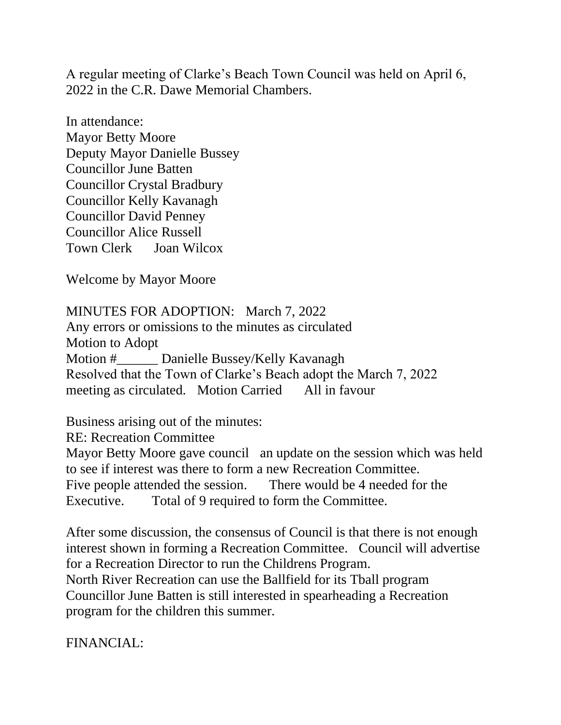A regular meeting of Clarke's Beach Town Council was held on April 6, 2022 in the C.R. Dawe Memorial Chambers.

In attendance: Mayor Betty Moore Deputy Mayor Danielle Bussey Councillor June Batten Councillor Crystal Bradbury Councillor Kelly Kavanagh Councillor David Penney Councillor Alice Russell Town Clerk Joan Wilcox

Welcome by Mayor Moore

MINUTES FOR ADOPTION: March 7, 2022 Any errors or omissions to the minutes as circulated Motion to Adopt Motion #\_\_\_\_\_\_ Danielle Bussey/Kelly Kavanagh Resolved that the Town of Clarke's Beach adopt the March 7, 2022 meeting as circulated. Motion Carried All in favour

Business arising out of the minutes:

RE: Recreation Committee Mayor Betty Moore gave council an update on the session which was held to see if interest was there to form a new Recreation Committee. Five people attended the session. There would be 4 needed for the Executive. Total of 9 required to form the Committee.

After some discussion, the consensus of Council is that there is not enough interest shown in forming a Recreation Committee. Council will advertise for a Recreation Director to run the Childrens Program. North River Recreation can use the Ballfield for its Tball program

Councillor June Batten is still interested in spearheading a Recreation program for the children this summer.

FINANCIAL: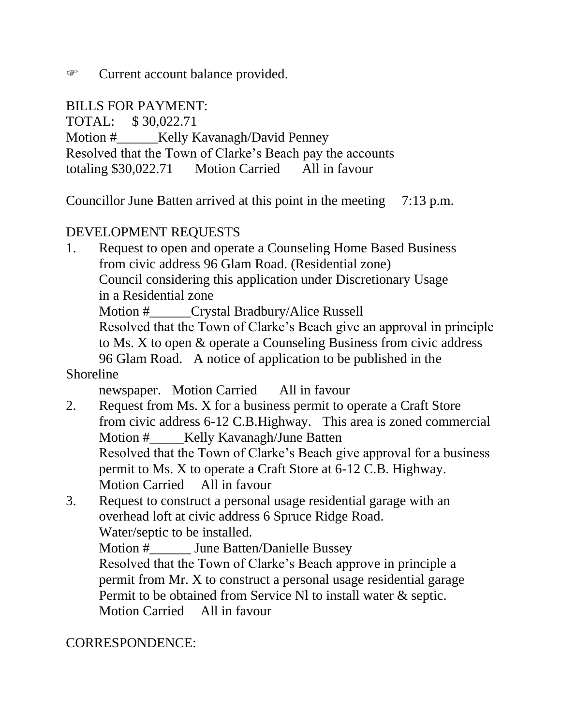**EXECURTE 2** Current account balance provided.

#### BILLS FOR PAYMENT:

TOTAL: \$ 30,022.71 Motion #\_\_\_\_\_\_Kelly Kavanagh/David Penney Resolved that the Town of Clarke's Beach pay the accounts totaling \$30,022.71 Motion Carried All in favour

Councillor June Batten arrived at this point in the meeting 7:13 p.m.

#### DEVELOPMENT REQUESTS

1. Request to open and operate a Counseling Home Based Business from civic address 96 Glam Road. (Residential zone) Council considering this application under Discretionary Usage in a Residential zone Motion #\_\_\_\_\_\_Crystal Bradbury/Alice Russell Resolved that the Town of Clarke's Beach give an approval in principle to Ms. X to open & operate a Counseling Business from civic address 96 Glam Road. A notice of application to be published in the

Shoreline

newspaper. Motion Carried All in favour

- 2. Request from Ms. X for a business permit to operate a Craft Store from civic address 6-12 C.B.Highway. This area is zoned commercial Motion # \_\_\_\_\_Kelly Kavanagh/June Batten Resolved that the Town of Clarke's Beach give approval for a business permit to Ms. X to operate a Craft Store at 6-12 C.B. Highway. Motion Carried All in favour
- 3. Request to construct a personal usage residential garage with an overhead loft at civic address 6 Spruce Ridge Road. Water/septic to be installed. Motion # June Batten/Danielle Bussey Resolved that the Town of Clarke's Beach approve in principle a permit from Mr. X to construct a personal usage residential garage Permit to be obtained from Service Nl to install water & septic. Motion Carried All in favour

## CORRESPONDENCE: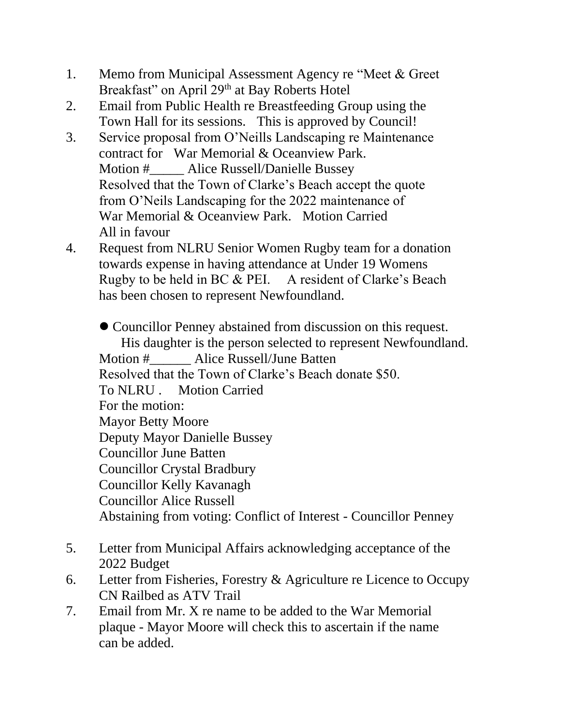- 1. Memo from Municipal Assessment Agency re "Meet & Greet Breakfast" on April 29<sup>th</sup> at Bay Roberts Hotel
- 2. Email from Public Health re Breastfeeding Group using the Town Hall for its sessions. This is approved by Council!
- 3. Service proposal from O'Neills Landscaping re Maintenance contract for War Memorial & Oceanview Park. Motion # \_\_\_\_\_ Alice Russell/Danielle Bussey Resolved that the Town of Clarke's Beach accept the quote from O'Neils Landscaping for the 2022 maintenance of War Memorial & Oceanview Park. Motion Carried All in favour
- 4. Request from NLRU Senior Women Rugby team for a donation towards expense in having attendance at Under 19 Womens Rugby to be held in BC & PEI. A resident of Clarke's Beach has been chosen to represent Newfoundland.

⚫ Councillor Penney abstained from discussion on this request. His daughter is the person selected to represent Newfoundland. Motion # Alice Russell/June Batten Resolved that the Town of Clarke's Beach donate \$50. To NLRU . Motion Carried For the motion: Mayor Betty Moore Deputy Mayor Danielle Bussey Councillor June Batten Councillor Crystal Bradbury Councillor Kelly Kavanagh Councillor Alice Russell Abstaining from voting: Conflict of Interest - Councillor Penney

- 5. Letter from Municipal Affairs acknowledging acceptance of the 2022 Budget
- 6. Letter from Fisheries, Forestry & Agriculture re Licence to Occupy CN Railbed as ATV Trail
- 7. Email from Mr. X re name to be added to the War Memorial plaque - Mayor Moore will check this to ascertain if the name can be added.